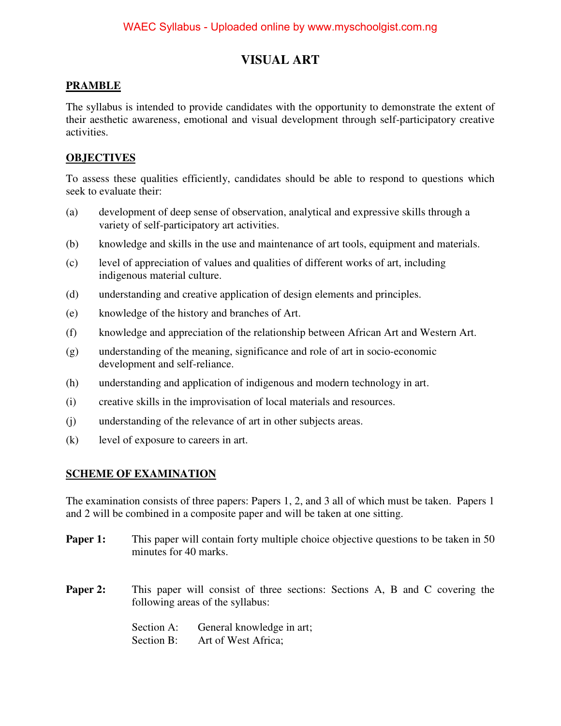# **VISUAL ART**

# **PRAMBLE**

The syllabus is intended to provide candidates with the opportunity to demonstrate the extent of their aesthetic awareness, emotional and visual development through self-participatory creative activities.

# **OBJECTIVES**

To assess these qualities efficiently, candidates should be able to respond to questions which seek to evaluate their:

- (a) development of deep sense of observation, analytical and expressive skills through a variety of self-participatory art activities.
- (b) knowledge and skills in the use and maintenance of art tools, equipment and materials.
- (c) level of appreciation of values and qualities of different works of art, including indigenous material culture.
- (d) understanding and creative application of design elements and principles.
- (e) knowledge of the history and branches of Art.
- (f) knowledge and appreciation of the relationship between African Art and Western Art.
- (g) understanding of the meaning, significance and role of art in socio-economic development and self-reliance.
- (h) understanding and application of indigenous and modern technology in art.
- (i) creative skills in the improvisation of local materials and resources.
- (j) understanding of the relevance of art in other subjects areas.
- (k) level of exposure to careers in art.

# **SCHEME OF EXAMINATION**

The examination consists of three papers: Papers 1, 2, and 3 all of which must be taken. Papers 1 and 2 will be combined in a composite paper and will be taken at one sitting.

- **Paper 1:** This paper will contain forty multiple choice objective questions to be taken in 50 minutes for 40 marks.
- **Paper 2:** This paper will consist of three sections: Sections A, B and C covering the following areas of the syllabus:

Section A: General knowledge in art; Section B: Art of West Africa;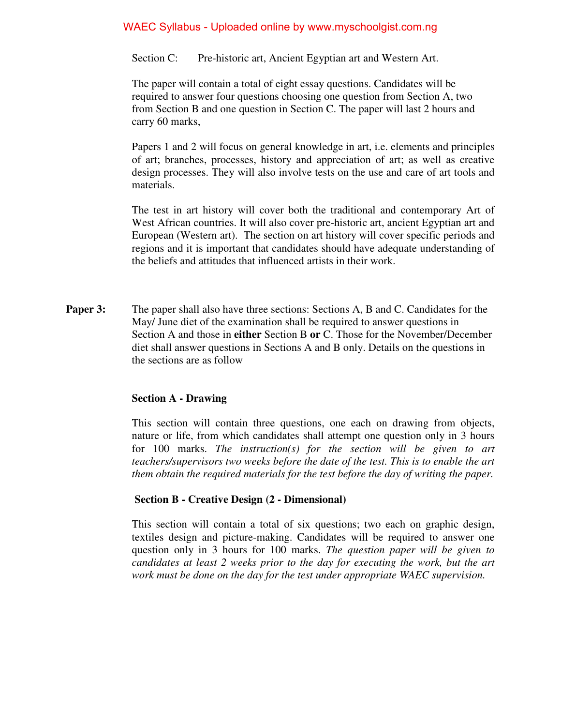Section C: Pre-historic art, Ancient Egyptian art and Western Art.

The paper will contain a total of eight essay questions. Candidates will be required to answer four questions choosing one question from Section A, two from Section B and one question in Section C. The paper will last 2 hours and carry 60 marks,

Papers 1 and 2 will focus on general knowledge in art, i.e. elements and principles of art; branches, processes, history and appreciation of art; as well as creative design processes. They will also involve tests on the use and care of art tools and materials.

The test in art history will cover both the traditional and contemporary Art of West African countries. It will also cover pre-historic art, ancient Egyptian art and European (Western art). The section on art history will cover specific periods and regions and it is important that candidates should have adequate understanding of the beliefs and attitudes that influenced artists in their work.

**Paper 3:** The paper shall also have three sections: Sections A, B and C. Candidates for the May/ June diet of the examination shall be required to answer questions in Section A and those in **either** Section B **or** C. Those for the November/December diet shall answer questions in Sections A and B only. Details on the questions in the sections are as follow

#### **Section A - Drawing**

This section will contain three questions, one each on drawing from objects, nature or life, from which candidates shall attempt one question only in 3 hours for 100 marks. *The instruction(s) for the section will be given to art teachers/supervisors two weeks before the date of the test. This is to enable the art them obtain the required materials for the test before the day of writing the paper.*

#### **Section B - Creative Design (2 - Dimensional)**

This section will contain a total of six questions; two each on graphic design, textiles design and picture-making. Candidates will be required to answer one question only in 3 hours for 100 marks. *The question paper will be given to candidates at least 2 weeks prior to the day for executing the work, but the art work must be done on the day for the test under appropriate WAEC supervision.*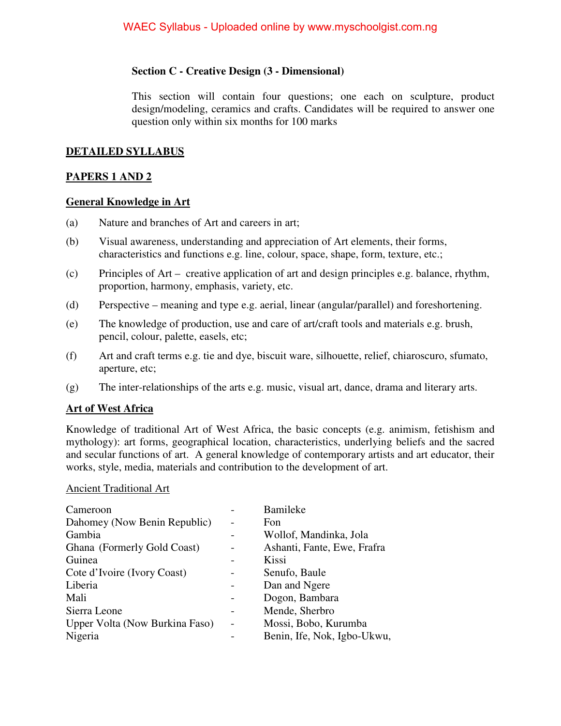## **Section C - Creative Design (3 - Dimensional)**

This section will contain four questions; one each on sculpture, product design/modeling, ceramics and crafts. Candidates will be required to answer one question only within six months for 100 marks

### **DETAILED SYLLABUS**

# **PAPERS 1 AND 2**

#### **General Knowledge in Art**

- (a) Nature and branches of Art and careers in art;
- (b) Visual awareness, understanding and appreciation of Art elements, their forms, characteristics and functions e.g. line, colour, space, shape, form, texture, etc.;
- (c) Principles of Art creative application of art and design principles e.g. balance, rhythm, proportion, harmony, emphasis, variety, etc.
- (d) Perspective meaning and type e.g. aerial, linear (angular/parallel) and foreshortening.
- (e) The knowledge of production, use and care of art/craft tools and materials e.g. brush, pencil, colour, palette, easels, etc;
- (f) Art and craft terms e.g. tie and dye, biscuit ware, silhouette, relief, chiaroscuro, sfumato, aperture, etc;
- (g) The inter-relationships of the arts e.g. music, visual art, dance, drama and literary arts.

#### **Art of West Africa**

Knowledge of traditional Art of West Africa, the basic concepts (e.g. animism, fetishism and mythology): art forms, geographical location, characteristics, underlying beliefs and the sacred and secular functions of art. A general knowledge of contemporary artists and art educator, their works, style, media, materials and contribution to the development of art.

#### Ancient Traditional Art

| Cameroon                       |                          | Bamileke                    |
|--------------------------------|--------------------------|-----------------------------|
| Dahomey (Now Benin Republic)   |                          | Fon                         |
| Gambia                         |                          | Wollof, Mandinka, Jola      |
| Ghana (Formerly Gold Coast)    |                          | Ashanti, Fante, Ewe, Frafra |
| Guinea                         |                          | Kissi                       |
| Cote d'Ivoire (Ivory Coast)    |                          | Senufo, Baule               |
| Liberia                        |                          | Dan and Ngere               |
| Mali                           |                          | Dogon, Bambara              |
| Sierra Leone                   |                          | Mende, Sherbro              |
| Upper Volta (Now Burkina Faso) | $\overline{\phantom{0}}$ | Mossi, Bobo, Kurumba        |
| Nigeria                        |                          | Benin, Ife, Nok, Igbo-Ukwu, |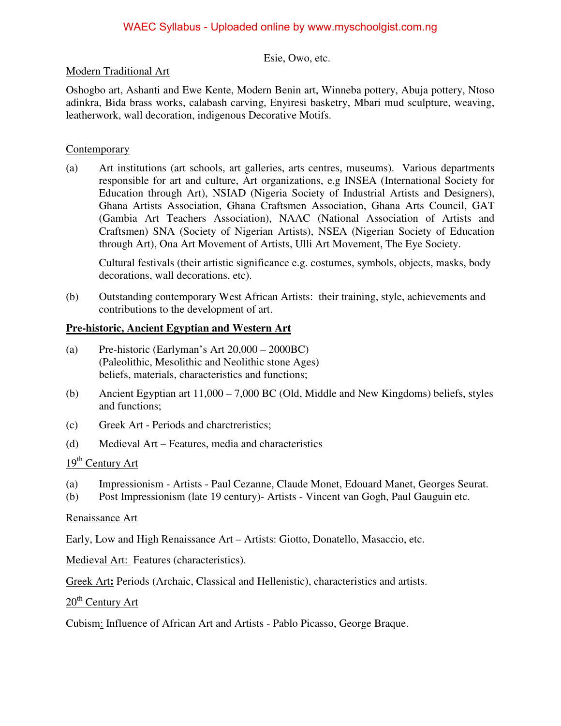#### Esie, Owo, etc.

# Modern Traditional Art

Oshogbo art, Ashanti and Ewe Kente, Modern Benin art, Winneba pottery, Abuja pottery, Ntoso adinkra, Bida brass works, calabash carving, Enyiresi basketry, Mbari mud sculpture, weaving, leatherwork, wall decoration, indigenous Decorative Motifs.

# **Contemporary**

(a) Art institutions (art schools, art galleries, arts centres, museums). Various departments responsible for art and culture, Art organizations, e.g INSEA (International Society for Education through Art), NSIAD (Nigeria Society of Industrial Artists and Designers), Ghana Artists Association, Ghana Craftsmen Association, Ghana Arts Council, GAT (Gambia Art Teachers Association), NAAC (National Association of Artists and Craftsmen) SNA (Society of Nigerian Artists), NSEA (Nigerian Society of Education through Art), Ona Art Movement of Artists, Ulli Art Movement, The Eye Society.

Cultural festivals (their artistic significance e.g. costumes, symbols, objects, masks, body decorations, wall decorations, etc).

(b) Outstanding contemporary West African Artists: their training, style, achievements and contributions to the development of art.

# **Pre-historic, Ancient Egyptian and Western Art**

- (a) Pre-historic (Earlyman's Art 20,000 2000BC) (Paleolithic, Mesolithic and Neolithic stone Ages) beliefs, materials, characteristics and functions;
- (b) Ancient Egyptian art 11,000 7,000 BC (Old, Middle and New Kingdoms) beliefs, styles and functions;
- (c) Greek Art Periods and charctreristics;
- (d) Medieval Art Features, media and characteristics

# 19<sup>th</sup> Century Art

- (a) Impressionism Artists Paul Cezanne, Claude Monet, Edouard Manet, Georges Seurat.
- (b) Post Impressionism (late 19 century)- Artists Vincent van Gogh, Paul Gauguin etc.

#### Renaissance Art

Early, Low and High Renaissance Art – Artists: Giotto, Donatello, Masaccio, etc.

Medieval Art: Features (characteristics).

Greek Art**:** Periods (Archaic, Classical and Hellenistic), characteristics and artists.

 $20<sup>th</sup>$  Century Art

Cubism: Influence of African Art and Artists - Pablo Picasso, George Braque.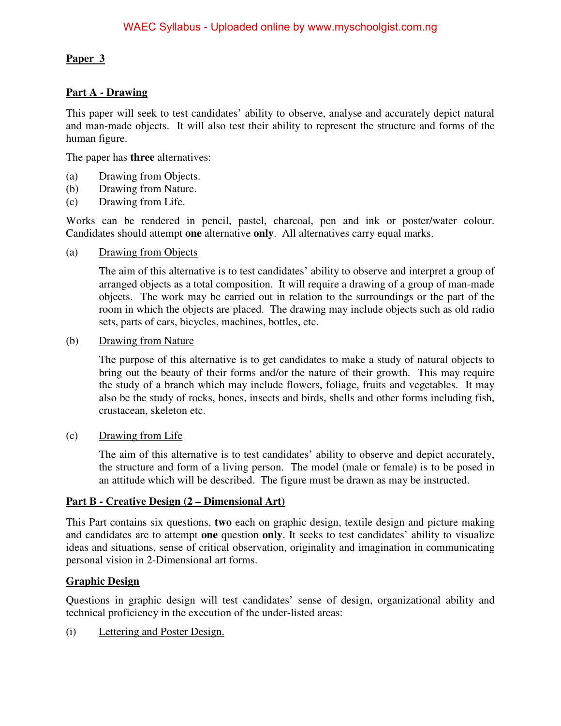# **Paper 3**

# **Part A - Drawing**

This paper will seek to test candidates' ability to observe, analyse and accurately depict natural and man-made objects. It will also test their ability to represent the structure and forms of the human figure.

The paper has **three** alternatives:

- (a) Drawing from Objects.
- (b) Drawing from Nature.
- (c) Drawing from Life.

Works can be rendered in pencil, pastel, charcoal, pen and ink or poster/water colour. Candidates should attempt **one** alternative **only**. All alternatives carry equal marks.

(a) Drawing from Objects

The aim of this alternative is to test candidates' ability to observe and interpret a group of arranged objects as a total composition. It will require a drawing of a group of man-made objects. The work may be carried out in relation to the surroundings or the part of the room in which the objects are placed. The drawing may include objects such as old radio sets, parts of cars, bicycles, machines, bottles, etc.

#### (b) Drawing from Nature

The purpose of this alternative is to get candidates to make a study of natural objects to bring out the beauty of their forms and/or the nature of their growth. This may require the study of a branch which may include flowers, foliage, fruits and vegetables. It may also be the study of rocks, bones, insects and birds, shells and other forms including fish, crustacean, skeleton etc.

(c) Drawing from Life

The aim of this alternative is to test candidates' ability to observe and depict accurately, the structure and form of a living person. The model (male or female) is to be posed in an attitude which will be described. The figure must be drawn as may be instructed.

#### **Part B - Creative Design (2 – Dimensional Art)**

This Part contains six questions, **two** each on graphic design, textile design and picture making and candidates are to attempt **one** question **only**. It seeks to test candidates' ability to visualize ideas and situations, sense of critical observation, originality and imagination in communicating personal vision in 2-Dimensional art forms.

# **Graphic Design**

Questions in graphic design will test candidates' sense of design, organizational ability and technical proficiency in the execution of the under-listed areas:

(i) Lettering and Poster Design.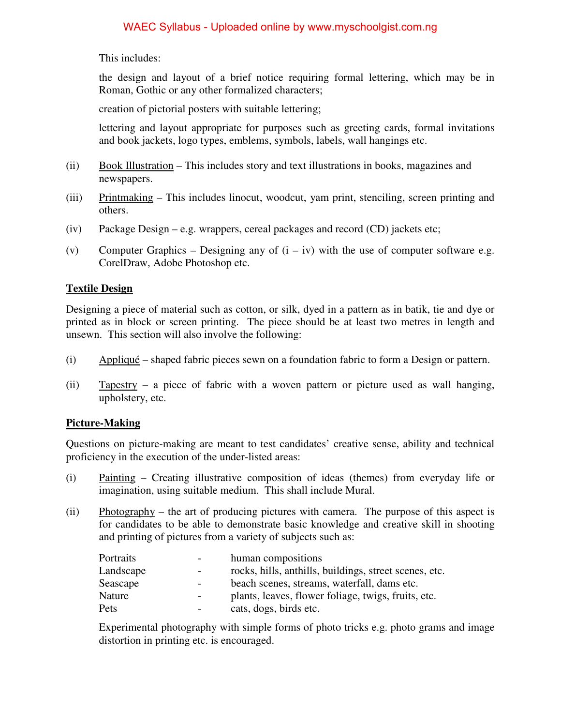This includes:

the design and layout of a brief notice requiring formal lettering, which may be in Roman, Gothic or any other formalized characters;

creation of pictorial posters with suitable lettering;

 lettering and layout appropriate for purposes such as greeting cards, formal invitations and book jackets, logo types, emblems, symbols, labels, wall hangings etc.

- (ii) Book Illustration This includes story and text illustrations in books, magazines and newspapers.
- (iii) Printmaking This includes linocut, woodcut, yam print, stenciling, screen printing and others.
- (iv) Package Design e.g. wrappers, cereal packages and record (CD) jackets etc;
- (v) Computer Graphics Designing any of  $(i iv)$  with the use of computer software e.g. CorelDraw, Adobe Photoshop etc.

# **Textile Design**

Designing a piece of material such as cotton, or silk, dyed in a pattern as in batik, tie and dye or printed as in block or screen printing. The piece should be at least two metres in length and unsewn. This section will also involve the following:

- (i) Appliqué shaped fabric pieces sewn on a foundation fabric to form a Design or pattern.
- (ii) Tapestry a piece of fabric with a woven pattern or picture used as wall hanging, upholstery, etc.

# **Picture-Making**

Questions on picture-making are meant to test candidates' creative sense, ability and technical proficiency in the execution of the under-listed areas:

- (i) Painting Creating illustrative composition of ideas (themes) from everyday life or imagination, using suitable medium. This shall include Mural.
- (ii) Photography the art of producing pictures with camera. The purpose of this aspect is for candidates to be able to demonstrate basic knowledge and creative skill in shooting and printing of pictures from a variety of subjects such as:

| Portraits |                          | human compositions                                     |
|-----------|--------------------------|--------------------------------------------------------|
| Landscape | $\overline{\phantom{0}}$ | rocks, hills, anthills, buildings, street scenes, etc. |
| Seascape  | $\overline{\phantom{0}}$ | beach scenes, streams, waterfall, dams etc.            |
| Nature    | $\overline{\phantom{a}}$ | plants, leaves, flower foliage, twigs, fruits, etc.    |
| Pets      |                          | cats, dogs, birds etc.                                 |

Experimental photography with simple forms of photo tricks e.g. photo grams and image distortion in printing etc. is encouraged.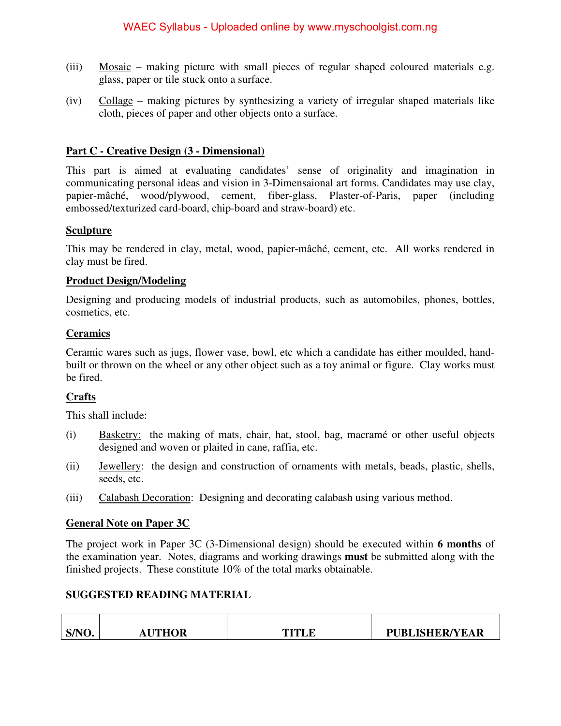- (iii) Mosaic making picture with small pieces of regular shaped coloured materials e.g. glass, paper or tile stuck onto a surface.
- (iv) Collage making pictures by synthesizing a variety of irregular shaped materials like cloth, pieces of paper and other objects onto a surface.

# **Part C - Creative Design (3 - Dimensional)**

This part is aimed at evaluating candidates' sense of originality and imagination in communicating personal ideas and vision in 3-Dimensaional art forms. Candidates may use clay, papier-mâché, wood/plywood, cement, fiber-glass, Plaster-of-Paris, paper (including embossed/texturized card-board, chip-board and straw-board) etc.

# **Sculpture**

This may be rendered in clay, metal, wood, papier-mâché, cement, etc. All works rendered in clay must be fired.

# **Product Design/Modeling**

Designing and producing models of industrial products, such as automobiles, phones, bottles, cosmetics, etc.

# **Ceramics**

Ceramic wares such as jugs, flower vase, bowl, etc which a candidate has either moulded, handbuilt or thrown on the wheel or any other object such as a toy animal or figure. Clay works must be fired.

# **Crafts**

This shall include:

┯

- (i) Basketry: the making of mats, chair, hat, stool, bag, macramé or other useful objects designed and woven or plaited in cane, raffia, etc.
- (ii) Jewellery: the design and construction of ornaments with metals, beads, plastic, shells, seeds, etc.
- (iii) Calabash Decoration: Designing and decorating calabash using various method.

# **General Note on Paper 3C**

The project work in Paper 3C (3-Dimensional design) should be executed within **6 months** of the examination year. Notes, diagrams and working drawings **must** be submitted along with the finished projects. These constitute 10% of the total marks obtainable.

# **SUGGESTED READING MATERIAL**

| S/NO. | <b>AUTHOR</b> | TITI E | <b>PUBLISHER/YEAR</b> |
|-------|---------------|--------|-----------------------|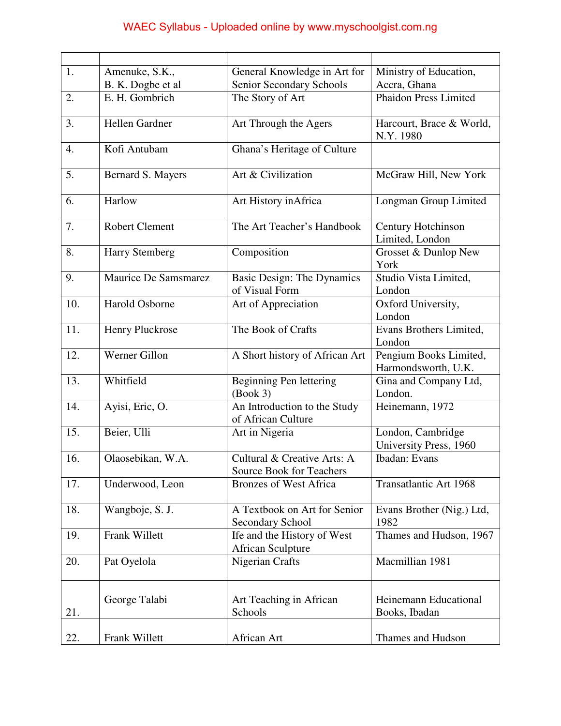| 1.  | Amenuke, S.K.,        | General Knowledge in Art for                                   | Ministry of Education,                        |
|-----|-----------------------|----------------------------------------------------------------|-----------------------------------------------|
|     | B. K. Dogbe et al     | Senior Secondary Schools                                       | Accra, Ghana                                  |
| 2.  | E. H. Gombrich        | The Story of Art                                               | <b>Phaidon Press Limited</b>                  |
| 3.  | Hellen Gardner        | Art Through the Agers                                          | Harcourt, Brace & World,<br>N.Y. 1980         |
| 4.  | Kofi Antubam          | Ghana's Heritage of Culture                                    |                                               |
| 5.  | Bernard S. Mayers     | Art & Civilization                                             | McGraw Hill, New York                         |
| 6.  | Harlow                | Art History in Africa                                          | Longman Group Limited                         |
| 7.  | <b>Robert Clement</b> | The Art Teacher's Handbook                                     | Century Hotchinson<br>Limited, London         |
| 8.  | <b>Harry Stemberg</b> | Composition                                                    | Grosset & Dunlop New<br>York                  |
| 9.  | Maurice De Samsmarez  | <b>Basic Design: The Dynamics</b><br>of Visual Form            | Studio Vista Limited,<br>London               |
| 10. | Harold Osborne        | Art of Appreciation                                            | Oxford University,<br>London                  |
| 11. | Henry Pluckrose       | The Book of Crafts                                             | Evans Brothers Limited,<br>London             |
| 12. | Werner Gillon         | A Short history of African Art                                 | Pengium Books Limited,<br>Harmondsworth, U.K. |
| 13. | Whitfield             | Beginning Pen lettering<br>(Book 3)                            | Gina and Company Ltd,<br>London.              |
| 14. | Ayisi, Eric, O.       | An Introduction to the Study<br>of African Culture             | Heinemann, 1972                               |
| 15. | Beier, Ulli           | Art in Nigeria                                                 | London, Cambridge<br>University Press, 1960   |
| 16. | Olaosebikan, W.A.     | Cultural & Creative Arts: A<br><b>Source Book for Teachers</b> | Ibadan: Evans                                 |
| 17. | Underwood, Leon       | <b>Bronzes of West Africa</b>                                  | Transatlantic Art 1968                        |
| 18. | Wangboje, S. J.       | A Textbook on Art for Senior<br><b>Secondary School</b>        | Evans Brother (Nig.) Ltd,<br>1982             |
| 19. | Frank Willett         | Ife and the History of West<br><b>African Sculpture</b>        | Thames and Hudson, 1967                       |
| 20. | Pat Oyelola           | Nigerian Crafts                                                | Macmillian 1981                               |
| 21. | George Talabi         | Art Teaching in African<br>Schools                             | Heinemann Educational<br>Books, Ibadan        |
| 22. | Frank Willett         | African Art                                                    | Thames and Hudson                             |